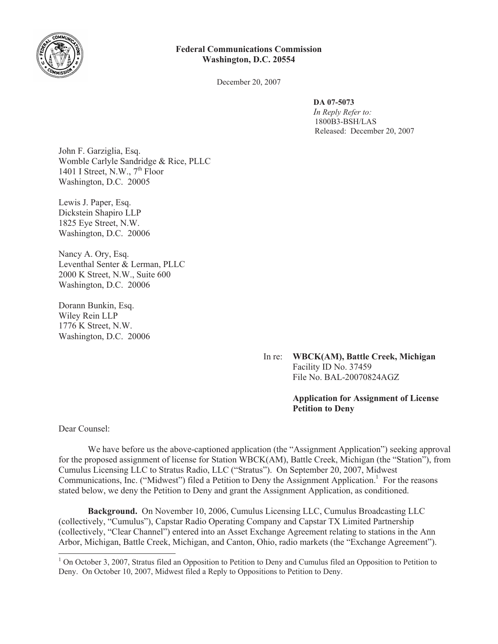

## **Federal Communications Commission Washington, D.C. 20554**

December 20, 2007

**DA 07-5073** *In Reply Refer to:*  1800B3-BSH/LAS Released: December 20, 2007

John F. Garziglia, Esq. Womble Carlyle Sandridge & Rice, PLLC 1401 I Street, N.W.,  $7<sup>th</sup>$  Floor Washington, D.C. 20005

Lewis J. Paper, Esq. Dickstein Shapiro LLP 1825 Eye Street, N.W. Washington, D.C. 20006

Nancy A. Ory, Esq. Leventhal Senter & Lerman, PLLC 2000 K Street, N.W., Suite 600 Washington, D.C. 20006

Dorann Bunkin, Esq. Wiley Rein LLP 1776 K Street, N.W. Washington, D.C. 20006

> In re: **WBCK(AM), Battle Creek, Michigan** Facility ID No. 37459 File No. BAL-20070824AGZ

## **Application for Assignment of License Petition to Deny**

Dear Counsel:

We have before us the above-captioned application (the "Assignment Application") seeking approval for the proposed assignment of license for Station WBCK(AM), Battle Creek, Michigan (the "Station"), from Cumulus Licensing LLC to Stratus Radio, LLC ("Stratus"). On September 20, 2007, Midwest Communications, Inc. ("Midwest") filed a Petition to Deny the Assignment Application.<sup>1</sup> For the reasons stated below, we deny the Petition to Deny and grant the Assignment Application, as conditioned.

**Background.** On November 10, 2006, Cumulus Licensing LLC, Cumulus Broadcasting LLC (collectively, "Cumulus"), Capstar Radio Operating Company and Capstar TX Limited Partnership (collectively, "Clear Channel") entered into an Asset Exchange Agreement relating to stations in the Ann Arbor, Michigan, Battle Creek, Michigan, and Canton, Ohio, radio markets (the "Exchange Agreement").

 $1$  On October 3, 2007, Stratus filed an Opposition to Petition to Deny and Cumulus filed an Opposition to Petition to Deny. On October 10, 2007, Midwest filed a Reply to Oppositions to Petition to Deny.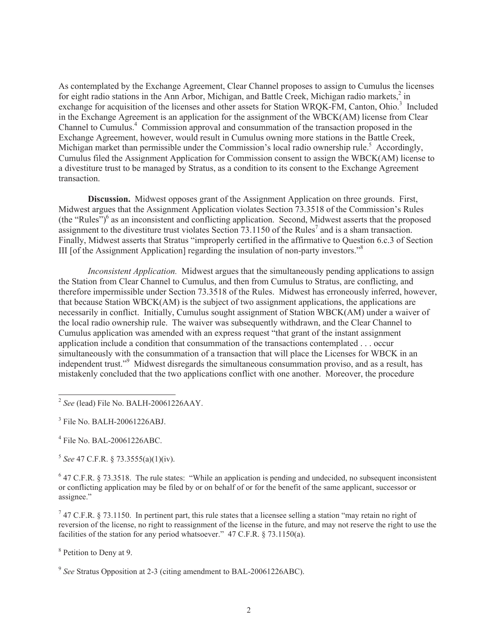As contemplated by the Exchange Agreement, Clear Channel proposes to assign to Cumulus the licenses for eight radio stations in the Ann Arbor, Michigan, and Battle Creek, Michigan radio markets,<sup>2</sup> in exchange for acquisition of the licenses and other assets for Station WRQK-FM, Canton, Ohio.<sup>3</sup> Included in the Exchange Agreement is an application for the assignment of the WBCK(AM) license from Clear Channel to Cumulus.<sup>4</sup> Commission approval and consummation of the transaction proposed in the Exchange Agreement, however, would result in Cumulus owning more stations in the Battle Creek, Michigan market than permissible under the Commission's local radio ownership rule.<sup>5</sup> Accordingly, Cumulus filed the Assignment Application for Commission consent to assign the WBCK(AM) license to a divestiture trust to be managed by Stratus, as a condition to its consent to the Exchange Agreement transaction.

**Discussion.** Midwest opposes grant of the Assignment Application on three grounds. First, Midwest argues that the Assignment Application violates Section 73.3518 of the Commission's Rules (the "Rules")<sup>6</sup> as an inconsistent and conflicting application. Second, Midwest asserts that the proposed assignment to the divestiture trust violates Section  $73.1150$  of the Rules<sup>7</sup> and is a sham transaction. Finally, Midwest asserts that Stratus "improperly certified in the affirmative to Question 6.c.3 of Section III [of the Assignment Application] regarding the insulation of non-party investors."<sup>8</sup>

*Inconsistent Application.* Midwest argues that the simultaneously pending applications to assign the Station from Clear Channel to Cumulus, and then from Cumulus to Stratus, are conflicting, and therefore impermissible under Section 73.3518 of the Rules. Midwest has erroneously inferred, however, that because Station WBCK(AM) is the subject of two assignment applications, the applications are necessarily in conflict. Initially, Cumulus sought assignment of Station WBCK(AM) under a waiver of the local radio ownership rule. The waiver was subsequently withdrawn, and the Clear Channel to Cumulus application was amended with an express request "that grant of the instant assignment application include a condition that consummation of the transactions contemplated . . . occur simultaneously with the consummation of a transaction that will place the Licenses for WBCK in an independent trust."<sup>9</sup> Midwest disregards the simultaneous consummation proviso, and as a result, has mistakenly concluded that the two applications conflict with one another. Moreover, the procedure

4 File No. BAL-20061226ABC.

5 *See* 47 C.F.R. § 73.3555(a)(1)(iv).

 $6$  47 C.F.R. § 73.3518. The rule states: "While an application is pending and undecided, no subsequent inconsistent or conflicting application may be filed by or on behalf of or for the benefit of the same applicant, successor or assignee."

 $7$  47 C.F.R. § 73.1150. In pertinent part, this rule states that a licensee selling a station "may retain no right of reversion of the license, no right to reassignment of the license in the future, and may not reserve the right to use the facilities of the station for any period whatsoever." 47 C.F.R. § 73.1150(a).

<sup>8</sup> Petition to Deny at 9.

<sup>9</sup> See Stratus Opposition at 2-3 (citing amendment to BAL-20061226ABC).

<sup>2</sup> *See* (lead) File No. BALH-20061226AAY.

<sup>3</sup> File No. BALH-20061226ABJ.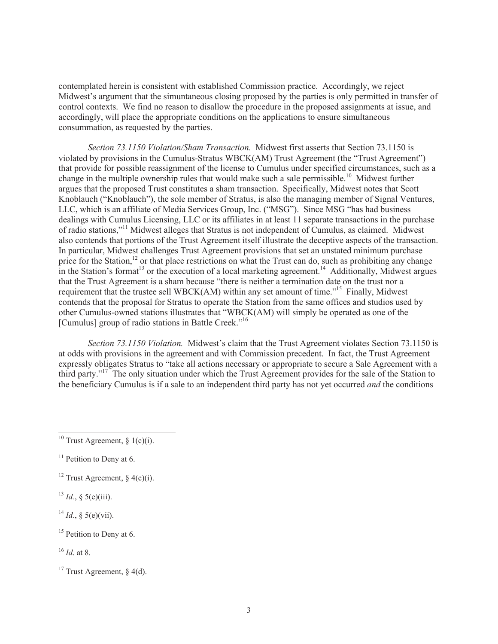contemplated herein is consistent with established Commission practice. Accordingly, we reject Midwest's argument that the simuntaneous closing proposed by the parties is only permitted in transfer of control contexts. We find no reason to disallow the procedure in the proposed assignments at issue, and accordingly, will place the appropriate conditions on the applications to ensure simultaneous consummation, as requested by the parties.

*Section 73.1150 Violation/Sham Transaction.* Midwest first asserts that Section 73.1150 is violated by provisions in the Cumulus-Stratus WBCK(AM) Trust Agreement (the "Trust Agreement") that provide for possible reassignment of the license to Cumulus under specified circumstances, such as a change in the multiple ownership rules that would make such a sale permissible.<sup>10</sup> Midwest further argues that the proposed Trust constitutes a sham transaction. Specifically, Midwest notes that Scott Knoblauch ("Knoblauch"), the sole member of Stratus, is also the managing member of Signal Ventures, LLC, which is an affiliate of Media Services Group, Inc. ("MSG"). Since MSG "has had business dealings with Cumulus Licensing, LLC or its affiliates in at least 11 separate transactions in the purchase of radio stations,"<sup>11</sup> Midwest alleges that Stratus is not independent of Cumulus, as claimed. Midwest also contends that portions of the Trust Agreement itself illustrate the deceptive aspects of the transaction. In particular, Midwest challenges Trust Agreement provisions that set an unstated minimum purchase price for the Station,<sup>12</sup> or that place restrictions on what the Trust can do, such as prohibiting any change in the Station's format<sup>13</sup> or the execution of a local marketing agreement.<sup>14</sup> Additionally, Midwest argues that the Trust Agreement is a sham because "there is neither a termination date on the trust nor a requirement that the trustee sell WBCK(AM) within any set amount of time."<sup>15</sup> Finally, Midwest contends that the proposal for Stratus to operate the Station from the same offices and studios used by other Cumulus-owned stations illustrates that "WBCK(AM) will simply be operated as one of the [Cumulus] group of radio stations in Battle Creek."<sup>16</sup>

*Section 73.1150 Violation.* Midwest's claim that the Trust Agreement violates Section 73.1150 is at odds with provisions in the agreement and with Commission precedent. In fact, the Trust Agreement expressly obligates Stratus to "take all actions necessary or appropriate to secure a Sale Agreement with a third party."<sup>17</sup> The only situation under which the Trust Agreement provides for the sale of the Station to the beneficiary Cumulus is if a sale to an independent third party has not yet occurred *and* the conditions

 $^{13}$  *Id.*, § 5(e)(iii).

 $^{14}$  *Id.*,  $\frac{6}{3}$  5(e)(vii).

 $15$  Petition to Deny at 6.

<sup>16</sup> *Id*. at 8.

<sup>&</sup>lt;sup>10</sup> Trust Agreement,  $\delta$  1(c)(i).

 $11$  Petition to Deny at 6.

<sup>&</sup>lt;sup>12</sup> Trust Agreement, § 4(c)(i).

<sup>&</sup>lt;sup>17</sup> Trust Agreement,  $\frac{1}{6}$  4(d).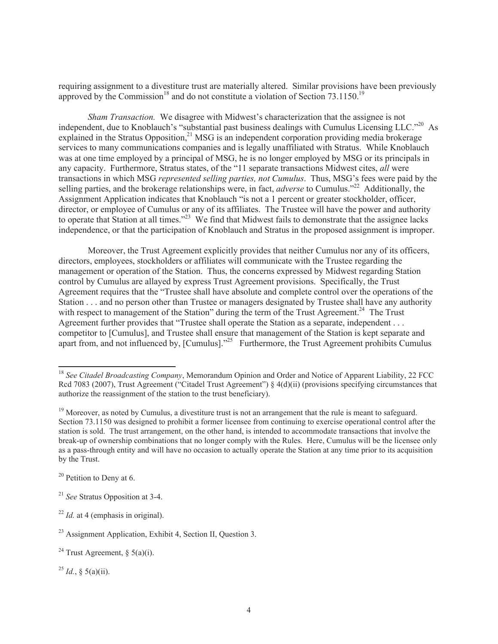requiring assignment to a divestiture trust are materially altered. Similar provisions have been previously approved by the Commission<sup>18</sup> and do not constitute a violation of Section  $73.1150^{19}$ 

*Sham Transaction.* We disagree with Midwest's characterization that the assignee is not independent, due to Knoblauch's "substantial past business dealings with Cumulus Licensing LLC."<sup>20</sup> As explained in the Stratus Opposition,<sup>21</sup> MSG is an independent corporation providing media brokerage services to many communications companies and is legally unaffiliated with Stratus. While Knoblauch was at one time employed by a principal of MSG, he is no longer employed by MSG or its principals in any capacity. Furthermore, Stratus states, of the "11 separate transactions Midwest cites, *all* were transactions in which MSG *represented selling parties, not Cumulus*. Thus, MSG's fees were paid by the selling parties, and the brokerage relationships were, in fact, *adverse* to Cumulus."<sup>22</sup> Additionally, the Assignment Application indicates that Knoblauch "is not a 1 percent or greater stockholder, officer, director, or employee of Cumulus or any of its affiliates. The Trustee will have the power and authority to operate that Station at all times."<sup>23</sup> We find that Midwest fails to demonstrate that the assignee lacks independence, or that the participation of Knoblauch and Stratus in the proposed assignment is improper.

Moreover, the Trust Agreement explicitly provides that neither Cumulus nor any of its officers, directors, employees, stockholders or affiliates will communicate with the Trustee regarding the management or operation of the Station. Thus, the concerns expressed by Midwest regarding Station control by Cumulus are allayed by express Trust Agreement provisions. Specifically, the Trust Agreement requires that the "Trustee shall have absolute and complete control over the operations of the Station . . . and no person other than Trustee or managers designated by Trustee shall have any authority with respect to management of the Station" during the term of the Trust Agreement.<sup>24</sup> The Trust Agreement further provides that "Trustee shall operate the Station as a separate, independent . . . competitor to [Cumulus], and Trustee shall ensure that management of the Station is kept separate and apart from, and not influenced by, [Cumulus]."<sup>25</sup> Furthermore, the Trust Agreement prohibits Cumulus

 $^{25}$  *Id.*, § 5(a)(ii).

<sup>&</sup>lt;sup>18</sup> See Citadel Broadcasting Company, Memorandum Opinion and Order and Notice of Apparent Liability, 22 FCC Rcd 7083 (2007), Trust Agreement ("Citadel Trust Agreement") § 4(d)(ii) (provisions specifying circumstances that authorize the reassignment of the station to the trust beneficiary).

 $19$  Moreover, as noted by Cumulus, a divestiture trust is not an arrangement that the rule is meant to safeguard. Section 73.1150 was designed to prohibit a former licensee from continuing to exercise operational control after the station is sold. The trust arrangement, on the other hand, is intended to accommodate transactions that involve the break-up of ownership combinations that no longer comply with the Rules. Here, Cumulus will be the licensee only as a pass-through entity and will have no occasion to actually operate the Station at any time prior to its acquisition by the Trust.

 $20$  Petition to Deny at 6.

<sup>21</sup> *See* Stratus Opposition at 3-4.

<sup>&</sup>lt;sup>22</sup> *Id.* at 4 (emphasis in original).

<sup>23</sup> Assignment Application, Exhibit 4, Section II, Question 3.

<sup>&</sup>lt;sup>24</sup> Trust Agreement, § 5(a)(i).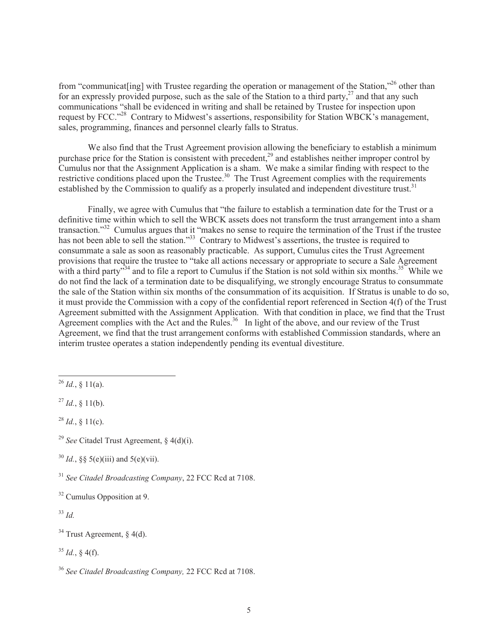from "communicat[ing] with Trustee regarding the operation or management of the Station,"<sup>26</sup> other than for an expressly provided purpose, such as the sale of the Station to a third party, $^{27}$  and that any such communications "shall be evidenced in writing and shall be retained by Trustee for inspection upon request by FCC."<sup>28</sup> Contrary to Midwest's assertions, responsibility for Station WBCK's management, sales, programming, finances and personnel clearly falls to Stratus.

We also find that the Trust Agreement provision allowing the beneficiary to establish a minimum purchase price for the Station is consistent with precedent,<sup>29</sup> and establishes neither improper control by Cumulus nor that the Assignment Application is a sham. We make a similar finding with respect to the restrictive conditions placed upon the Trustee.<sup>30</sup> The Trust Agreement complies with the requirements established by the Commission to qualify as a properly insulated and independent divestiture trust.<sup>31</sup>

Finally, we agree with Cumulus that "the failure to establish a termination date for the Trust or a definitive time within which to sell the WBCK assets does not transform the trust arrangement into a sham transaction."<sup>32</sup> Cumulus argues that it "makes no sense to require the termination of the Trust if the trustee has not been able to sell the station."<sup>33</sup> Contrary to Midwest's assertions, the trustee is required to consummate a sale as soon as reasonably practicable. As support, Cumulus cites the Trust Agreement provisions that require the trustee to "take all actions necessary or appropriate to secure a Sale Agreement with a third party<sup> $34$ </sup> and to file a report to Cumulus if the Station is not sold within six months.<sup>35</sup> While we do not find the lack of a termination date to be disqualifying, we strongly encourage Stratus to consummate the sale of the Station within six months of the consummation of its acquisition. If Stratus is unable to do so, it must provide the Commission with a copy of the confidential report referenced in Section 4(f) of the Trust Agreement submitted with the Assignment Application. With that condition in place, we find that the Trust Agreement complies with the Act and the Rules.<sup>36</sup> In light of the above, and our review of the Trust Agreement, we find that the trust arrangement conforms with established Commission standards, where an interim trustee operates a station independently pending its eventual divestiture.

 $^{27}$  *Id.*, § 11(b).

 $^{28}$  *Id.*, § 11(c).

<sup>29</sup> *See* Citadel Trust Agreement, § 4(d)(i).

 $30$  *Id.*,  $\&$  5(e)(iii) and 5(e)(vii).

<sup>31</sup> *See Citadel Broadcasting Company*, 22 FCC Rcd at 7108.

<sup>32</sup> Cumulus Opposition at 9.

<sup>33</sup> *Id.*

 $34$  Trust Agreement, § 4(d).

 $35$  *Id.*, § 4(f).

<sup>36</sup> *See Citadel Broadcasting Company,* 22 FCC Rcd at 7108.

 $^{26}$  *Id.*, § 11(a).